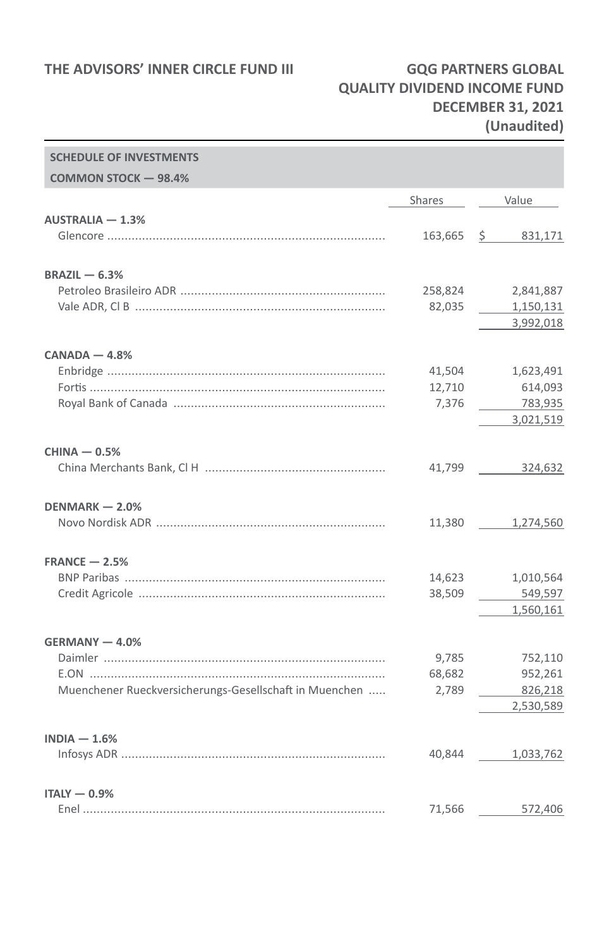## **QUALITY DIVIDEND INCOME FUND DECEMBER 31, 2021 (Unaudited)**

| <b>SCHEDULE OF INVESTMENTS</b>                         |               |           |
|--------------------------------------------------------|---------------|-----------|
| <b>COMMON STOCK - 98.4%</b>                            |               |           |
|                                                        | <b>Shares</b> | Value     |
| $AUSTRALIA - 1.3%$                                     |               |           |
|                                                        | 163,665       | \$331,171 |
| $BRAZIL - 6.3%$                                        |               |           |
|                                                        | 258,824       | 2,841,887 |
|                                                        | 82,035        | 1,150,131 |
|                                                        |               | 3,992,018 |
| $CANADA - 4.8%$                                        |               |           |
|                                                        | 41,504        | 1,623,491 |
|                                                        | 12,710        | 614,093   |
|                                                        | 7,376         | 783,935   |
|                                                        |               | 3,021,519 |
| $CHINA - 0.5%$                                         |               |           |
|                                                        | 41,799        | 324,632   |
| DENMARK - 2.0%                                         |               |           |
|                                                        | 11,380        | 1,274,560 |
| $FRANCE - 2.5%$                                        |               |           |
|                                                        | 14,623        | 1,010,564 |
|                                                        | 38,509        | 549,597   |
|                                                        |               | 1,560,161 |
| GERMANY - 4.0%                                         |               |           |
|                                                        | 9,785         | 752,110   |
|                                                        | 68,682        | 952,261   |
| Muenchener Rueckversicherungs-Gesellschaft in Muenchen | 2,789         | 826,218   |
|                                                        |               | 2,530,589 |
| $INDIA - 1.6%$                                         |               |           |
|                                                        | 40,844        | 1,033,762 |
| $ITALY - 0.9%$                                         |               |           |
|                                                        | 71,566        | 572,406   |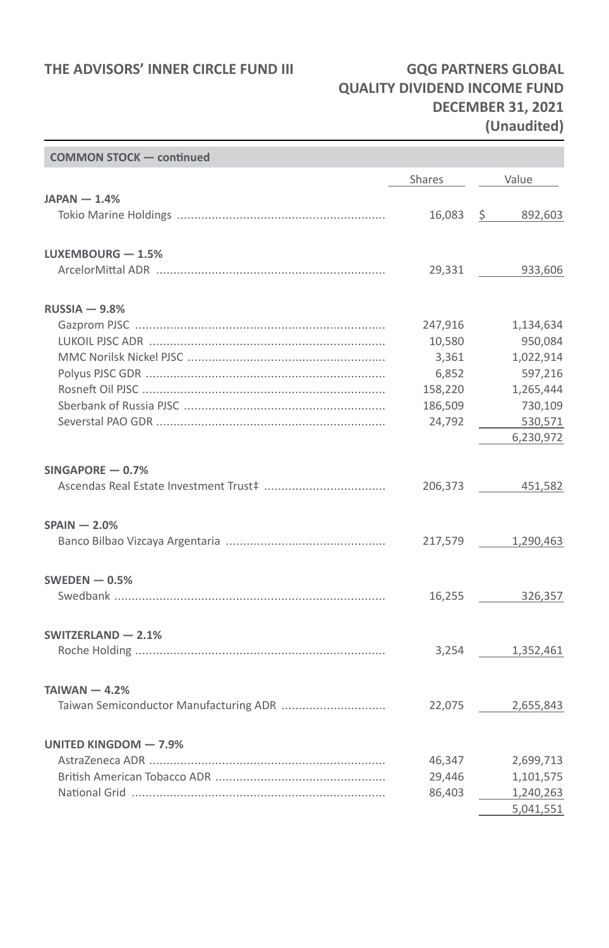# **QUALITY DIVIDEND INCOME FUND DECEMBER 31, 2021 (Unaudited)**

| <b>COMMON STOCK - continued</b> |                  |                        |
|---------------------------------|------------------|------------------------|
|                                 | Shares           | Value                  |
| $JAPAN - 1.4%$                  |                  |                        |
|                                 | 16,083           | \$92,603               |
| LUXEMBOURG - 1.5%               |                  |                        |
|                                 | 29,331           | 933,606                |
| $RUSSIA - 9.8%$                 |                  |                        |
|                                 | 247,916          | 1,134,634              |
|                                 | 10,580           | 950,084                |
|                                 | 3,361            | 1,022,914              |
|                                 | 6,852            | 597,216                |
|                                 | 158,220          | 1,265,444              |
|                                 | 186,509          | 730,109                |
|                                 | 24,792           | 530,571                |
|                                 |                  | 6,230,972              |
| $SINGAPORE - 0.7%$              |                  |                        |
|                                 |                  | 206,373 451,582        |
| $SPAIN - 2.0\%$                 |                  |                        |
|                                 |                  | 217,579 1,290,463      |
| SWEDEN $-0.5%$                  |                  |                        |
|                                 |                  | 16,255 326,357         |
| SWITZERLAND - 2.1%              |                  |                        |
|                                 | 3,254            | 1,352,461              |
| TAIWAN $-4.2%$                  |                  |                        |
|                                 |                  | 22,075 2,655,843       |
| UNITED KINGDOM - 7.9%           |                  |                        |
|                                 |                  |                        |
|                                 | 46,347<br>29,446 | 2,699,713<br>1,101,575 |
|                                 | 86,403           | 1,240,263              |
|                                 |                  | 5,041,551              |
|                                 |                  |                        |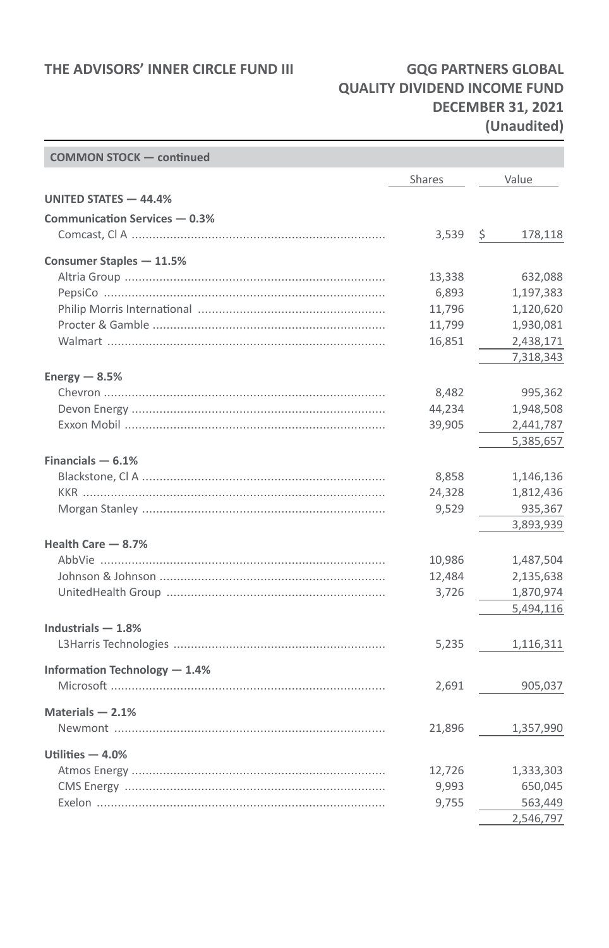## **QUALITY DIVIDEND INCOME FUND DECEMBER 31, 2021 (Unaudited)**

÷

| <b>COMMON STOCK - continued</b> |        |               |
|---------------------------------|--------|---------------|
|                                 | Shares | Value         |
| UNITED STATES - 44.4%           |        |               |
| Communication Services - 0.3%   |        |               |
|                                 | 3,539  | \$<br>178,118 |
| Consumer Staples - 11.5%        |        |               |
|                                 | 13,338 | 632,088       |
|                                 | 6,893  | 1,197,383     |
|                                 | 11,796 | 1,120,620     |
|                                 | 11,799 | 1,930,081     |
|                                 | 16,851 | 2,438,171     |
|                                 |        | 7,318,343     |
| Energy $-8.5%$                  |        |               |
|                                 | 8,482  | 995,362       |
|                                 | 44,234 | 1,948,508     |
|                                 | 39,905 | 2,441,787     |
|                                 |        | 5,385,657     |
| Financials $-6.1%$              |        |               |
|                                 | 8,858  | 1,146,136     |
|                                 | 24,328 | 1,812,436     |
|                                 | 9,529  | 935,367       |
|                                 |        | 3,893,939     |
| Health Care - 8.7%              |        |               |
|                                 | 10,986 | 1,487,504     |
|                                 | 12,484 | 2,135,638     |
|                                 | 3,726  | 1,870,974     |
|                                 |        | 5,494,116     |
| Industrials $-1.8%$             |        |               |
|                                 | 5,235  | 1,116,311     |
| Information Technology - 1.4%   |        |               |
|                                 | 2,691  | 905,037       |
|                                 |        |               |
| Materials $-2.1%$               |        |               |
|                                 | 21,896 | 1,357,990     |
| Utilities $-4.0%$               |        |               |
|                                 | 12,726 | 1,333,303     |
|                                 | 9,993  | 650,045       |
|                                 | 9,755  | 563,449       |
|                                 |        | 2,546,797     |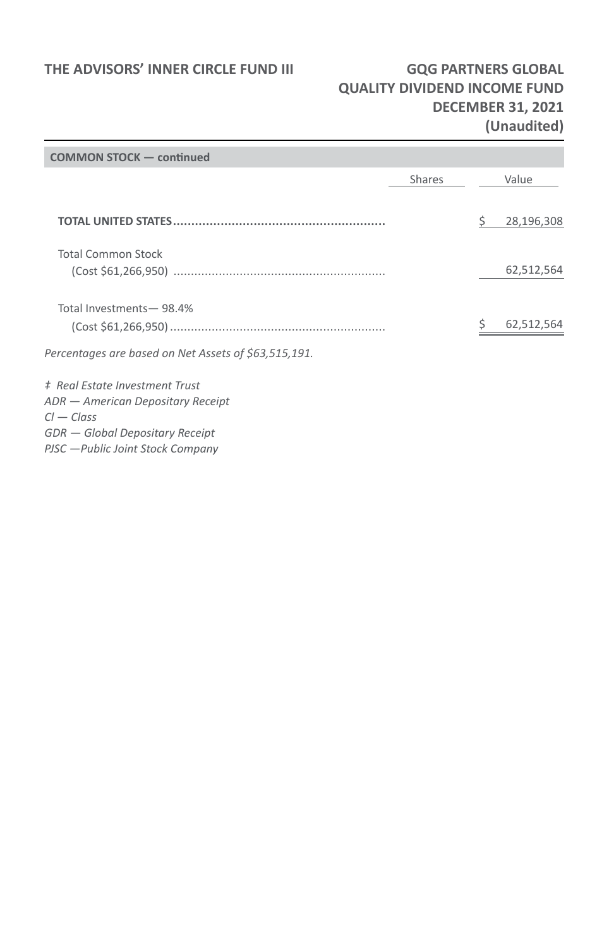## **QUALITY DIVIDEND INCOME FUND DECEMBER 31, 2021 (Unaudited)**

| <b>COMMON STOCK - continued</b>                      |               |            |
|------------------------------------------------------|---------------|------------|
|                                                      | <b>Shares</b> | Value      |
|                                                      |               |            |
|                                                      |               | 28,196,308 |
| <b>Total Common Stock</b>                            |               |            |
|                                                      |               | 62,512,564 |
|                                                      |               |            |
| Total Investments-98.4%                              |               |            |
|                                                      |               | 62,512,564 |
| Percentages are based on Net Assets of \$63,515,191. |               |            |
| # Real Estate Investment Trust                       |               |            |
| ADR - American Depositary Receipt                    |               |            |
| $Cl - Class$                                         |               |            |
| GDR - Global Depositary Receipt                      |               |            |
|                                                      |               |            |
| PJSC - Public Joint Stock Company                    |               |            |